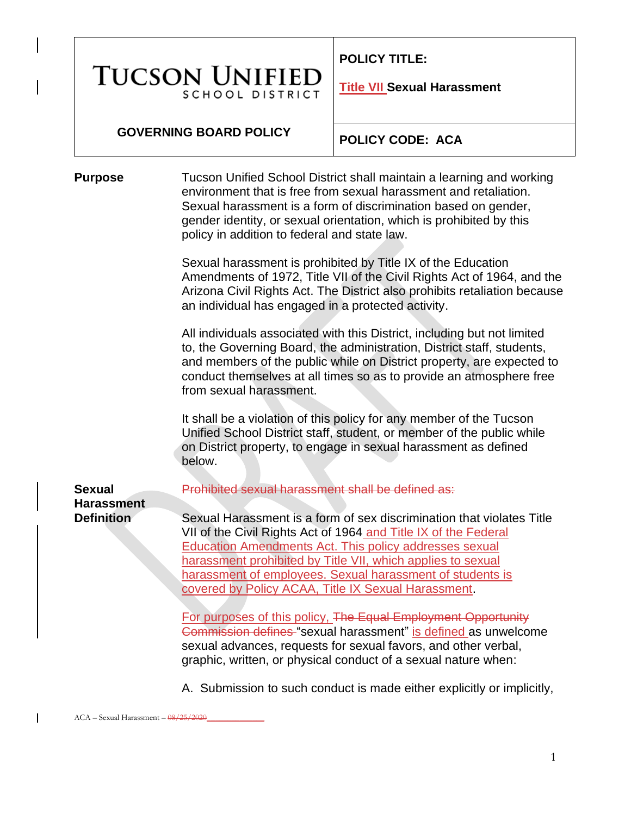# **TUCSON UNIFIEI SCHOOL DISTRICT**

**POLICY TITLE:** 

**Title VII Sexual Harassment**

#### **GOVERNING BOARD POLICY**

**POLICY CODE: ACA**

**Purpose** Tucson Unified School District shall maintain a learning and working environment that is free from sexual harassment and retaliation. Sexual harassment is a form of discrimination based on gender, gender identity, or sexual orientation, which is prohibited by this policy in addition to federal and state law.

> Sexual harassment is prohibited by Title IX of the Education Amendments of 1972, Title VII of the Civil Rights Act of 1964, and the Arizona Civil Rights Act. The District also prohibits retaliation because an individual has engaged in a protected activity.

All individuals associated with this District, including but not limited to, the Governing Board, the administration, District staff, students, and members of the public while on District property, are expected to conduct themselves at all times so as to provide an atmosphere free from sexual harassment.

It shall be a violation of this policy for any member of the Tucson Unified School District staff, student, or member of the public while on District property, to engage in sexual harassment as defined below.

Prohibited sexual harassment shall be defined as:

Sexual Harassment is a form of sex discrimination that violates Title VII of the Civil Rights Act of 1964 and Title IX of the Federal Education Amendments Act. This policy addresses sexual harassment prohibited by Title VII, which applies to sexual harassment of employees. Sexual harassment of students is covered by Policy ACAA, Title IX Sexual Harassment.

For purposes of this policy, The Equal Employment Opportunity Commission defines "sexual harassment" is defined as unwelcome sexual advances, requests for sexual favors, and other verbal, graphic, written, or physical conduct of a sexual nature when:

A. Submission to such conduct is made either explicitly or implicitly,

**Sexual** 

**Harassment Definition**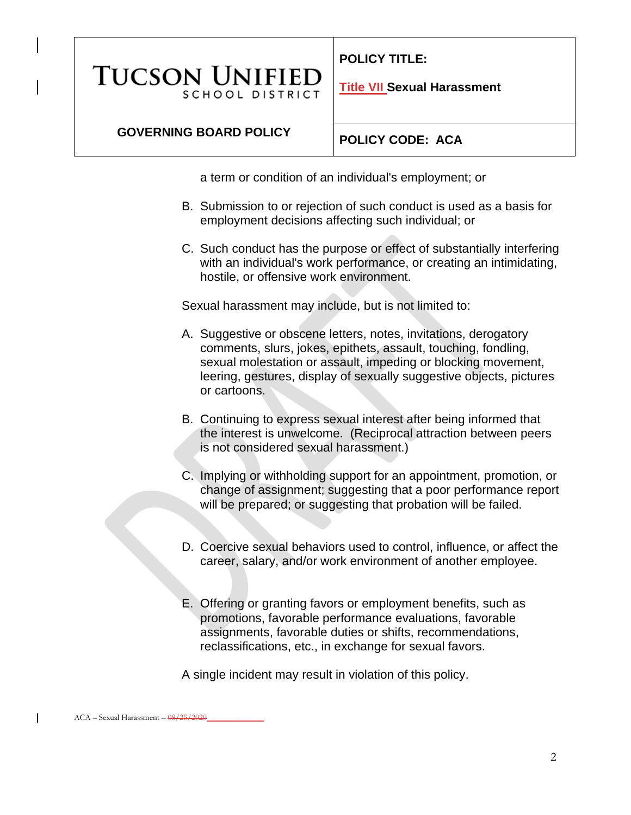**POLICY TITLE:** 

**TUCSON UNIFIEI SCHOOL DISTRICT** 

**Title VII Sexual Harassment**

## **GOVERNING BOARD POLICY**

**POLICY CODE: ACA**

a term or condition of an individual's employment; or

- B. Submission to or rejection of such conduct is used as a basis for employment decisions affecting such individual; or
- C. Such conduct has the purpose or effect of substantially interfering with an individual's work performance, or creating an intimidating, hostile, or offensive work environment.

Sexual harassment may include, but is not limited to:

- A. Suggestive or obscene letters, notes, invitations, derogatory comments, slurs, jokes, epithets, assault, touching, fondling, sexual molestation or assault, impeding or blocking movement, leering, gestures, display of sexually suggestive objects, pictures or cartoons.
- B. Continuing to express sexual interest after being informed that the interest is unwelcome. (Reciprocal attraction between peers is not considered sexual harassment.)
- C. Implying or withholding support for an appointment, promotion, or change of assignment; suggesting that a poor performance report will be prepared; or suggesting that probation will be failed.
- D. Coercive sexual behaviors used to control, influence, or affect the career, salary, and/or work environment of another employee.
- E. Offering or granting favors or employment benefits, such as promotions, favorable performance evaluations, favorable assignments, favorable duties or shifts, recommendations, reclassifications, etc., in exchange for sexual favors.

A single incident may result in violation of this policy.

 $\mathsf{l}$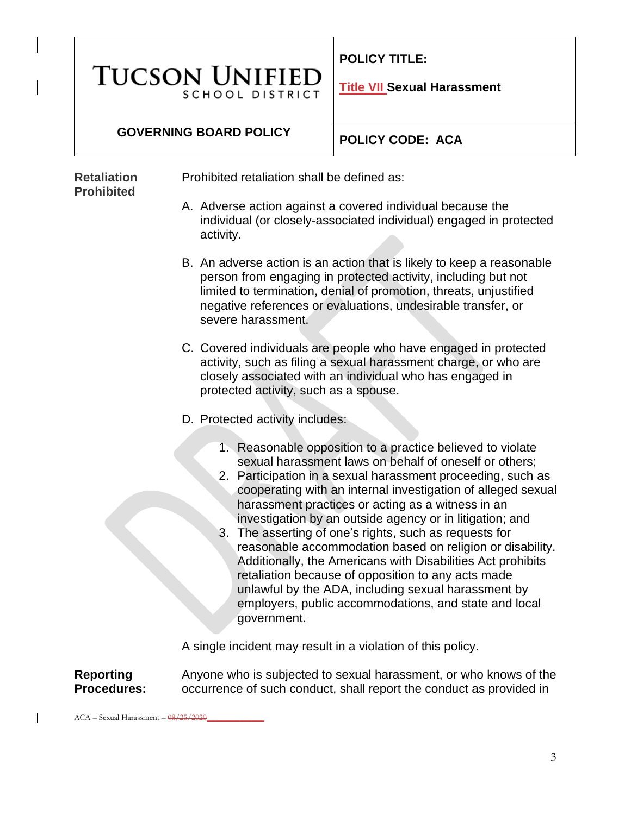# **TUCSON UNIFIED SCHOOL DISTRICT**

**POLICY TITLE:** 

**Title VII Sexual Harassment**

### **GOVERNING BOARD POLICY**

**Retaliation Prohibited**

**POLICY CODE: ACA**

Prohibited retaliation shall be defined as:

- A. Adverse action against a covered individual because the individual (or closely-associated individual) engaged in protected activity.
- B. An adverse action is an action that is likely to keep a reasonable person from engaging in protected activity, including but not limited to termination, denial of promotion, threats, unjustified negative references or evaluations, undesirable transfer, or severe harassment.
- C. Covered individuals are people who have engaged in protected activity, such as filing a sexual harassment charge, or who are closely associated with an individual who has engaged in protected activity, such as a spouse.
- D. Protected activity includes:
	- 1. Reasonable opposition to a practice believed to violate sexual harassment laws on behalf of oneself or others;
	- 2. Participation in a sexual harassment proceeding, such as cooperating with an internal investigation of alleged sexual harassment practices or acting as a witness in an investigation by an outside agency or in litigation; and
	- 3. The asserting of one's rights, such as requests for reasonable accommodation based on religion or disability. Additionally, the Americans with Disabilities Act prohibits retaliation because of opposition to any acts made unlawful by the ADA, including sexual harassment by employers, public accommodations, and state and local government.

A single incident may result in a violation of this policy.

**Reporting Procedures:**

 $\mathsf{l}$ 

Anyone who is subjected to sexual harassment, or who knows of the occurrence of such conduct, shall report the conduct as provided in

 $ACA -$  Sexual Harassment  $08/25/2020$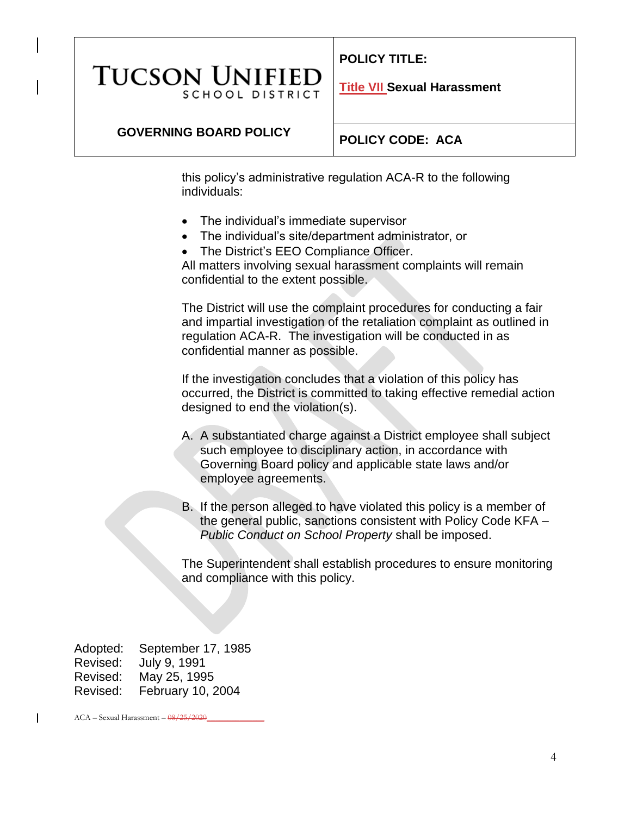#### **POLICY TITLE:**

## **TUCSON UNIFIEI SCHOOL DISTRICT**

**Title VII Sexual Harassment**

### **GOVERNING BOARD POLICY**

#### **POLICY CODE: ACA**

this policy's administrative regulation ACA-R to the following individuals:

- The individual's immediate supervisor
- The individual's site/department administrator, or
- The District's EEO Compliance Officer.

All matters involving sexual harassment complaints will remain confidential to the extent possible.

The District will use the complaint procedures for conducting a fair and impartial investigation of the retaliation complaint as outlined in regulation ACA-R. The investigation will be conducted in as confidential manner as possible.

If the investigation concludes that a violation of this policy has occurred, the District is committed to taking effective remedial action designed to end the violation(s).

- A. A substantiated charge against a District employee shall subject such employee to disciplinary action, in accordance with Governing Board policy and applicable state laws and/or employee agreements.
- B. If the person alleged to have violated this policy is a member of the general public, sanctions consistent with Policy Code KFA – *Public Conduct on School Property* shall be imposed.

The Superintendent shall establish procedures to ensure monitoring and compliance with this policy.

Adopted: September 17, 1985 Revised: July 9, 1991 Revised: May 25, 1995 Revised: February 10, 2004

 $ACA -$  Sexual Harassment  $08/25/2020$